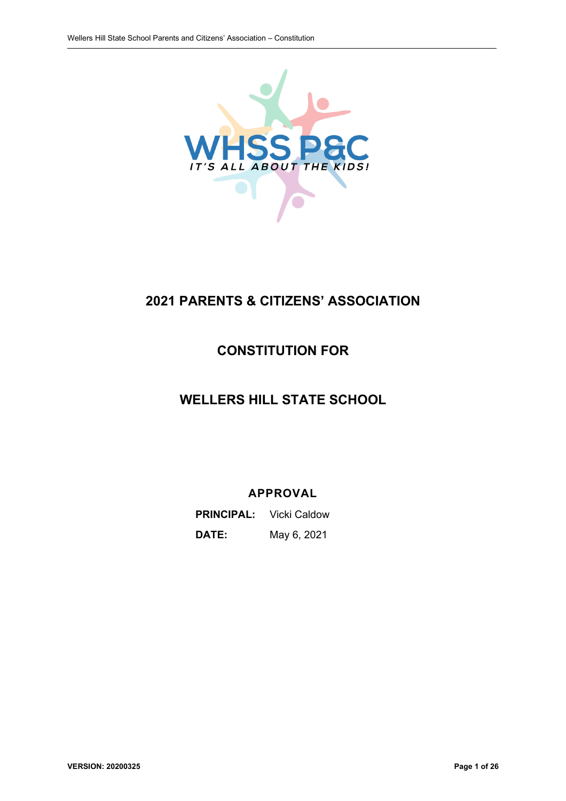

# **2021 PARENTS & CITIZENS' ASSOCIATION**

# **CONSTITUTION FOR**

# **WELLERS HILL STATE SCHOOL**

## **APPROVAL**

**PRINCIPAL:** Vicki Caldow **DATE:** May 6, 2021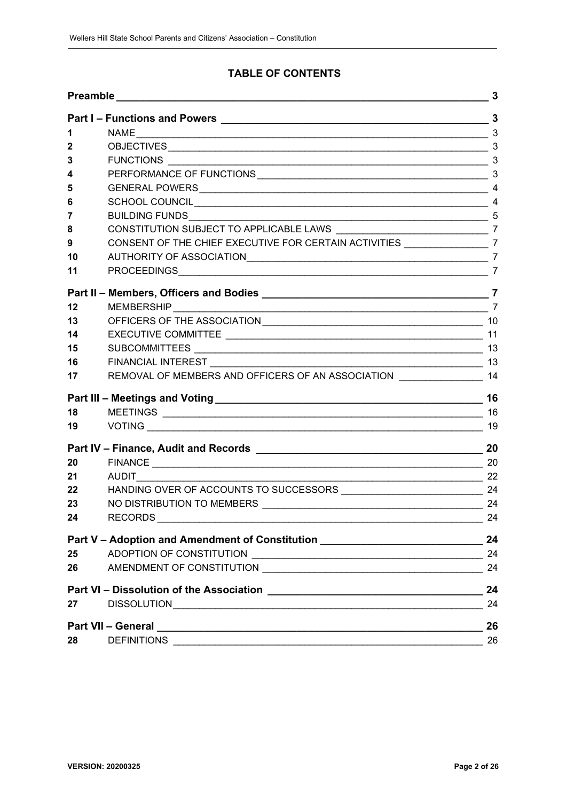## **TABLE OF CONTENTS**

| Part I – Functions and Powers 11 and 13 and 13 and 14 and 15 and 16 and 16 and 16 and 16 and 16 and 16 and 16 and 16 and 16 and 16 and 16 and 16 and 16 and 16 and 16 and 16 and 16 and 16 and 16 and 16 and 16 and 16 and 16 |                                                                                                                                                                                                                                     | 3  |
|-------------------------------------------------------------------------------------------------------------------------------------------------------------------------------------------------------------------------------|-------------------------------------------------------------------------------------------------------------------------------------------------------------------------------------------------------------------------------------|----|
|                                                                                                                                                                                                                               |                                                                                                                                                                                                                                     |    |
| 1                                                                                                                                                                                                                             |                                                                                                                                                                                                                                     |    |
| 2                                                                                                                                                                                                                             |                                                                                                                                                                                                                                     |    |
| 3                                                                                                                                                                                                                             |                                                                                                                                                                                                                                     |    |
| 4                                                                                                                                                                                                                             |                                                                                                                                                                                                                                     |    |
| 5                                                                                                                                                                                                                             |                                                                                                                                                                                                                                     |    |
| 6                                                                                                                                                                                                                             |                                                                                                                                                                                                                                     |    |
| 7                                                                                                                                                                                                                             |                                                                                                                                                                                                                                     |    |
| 8                                                                                                                                                                                                                             | CONSTITUTION SUBJECT TO APPLICABLE LAWS ___________________________________7                                                                                                                                                        |    |
| 9                                                                                                                                                                                                                             | CONSENT OF THE CHIEF EXECUTIVE FOR CERTAIN ACTIVITIES _____________________7                                                                                                                                                        |    |
| 10                                                                                                                                                                                                                            |                                                                                                                                                                                                                                     |    |
| 11                                                                                                                                                                                                                            |                                                                                                                                                                                                                                     |    |
|                                                                                                                                                                                                                               |                                                                                                                                                                                                                                     |    |
| 12                                                                                                                                                                                                                            |                                                                                                                                                                                                                                     |    |
| 13                                                                                                                                                                                                                            |                                                                                                                                                                                                                                     |    |
| 14                                                                                                                                                                                                                            |                                                                                                                                                                                                                                     |    |
| 15                                                                                                                                                                                                                            |                                                                                                                                                                                                                                     |    |
| 16                                                                                                                                                                                                                            |                                                                                                                                                                                                                                     |    |
| 17                                                                                                                                                                                                                            | REMOVAL OF MEMBERS AND OFFICERS OF AN ASSOCIATION _________________ 14                                                                                                                                                              |    |
|                                                                                                                                                                                                                               |                                                                                                                                                                                                                                     | 16 |
| 18                                                                                                                                                                                                                            |                                                                                                                                                                                                                                     |    |
| 19                                                                                                                                                                                                                            |                                                                                                                                                                                                                                     | 19 |
|                                                                                                                                                                                                                               |                                                                                                                                                                                                                                     | 20 |
| 20                                                                                                                                                                                                                            |                                                                                                                                                                                                                                     |    |
| 21                                                                                                                                                                                                                            |                                                                                                                                                                                                                                     |    |
| 22                                                                                                                                                                                                                            |                                                                                                                                                                                                                                     |    |
| 23                                                                                                                                                                                                                            |                                                                                                                                                                                                                                     |    |
| 24                                                                                                                                                                                                                            | RECORDS <b>Example 20</b> No. 2014 12:00:00 PM 2014 12:00:00 PM 2014 12:00:00 PM 2014 12:00:00 PM 2014 12:00:00 PM 2014                                                                                                             | 24 |
| Part V - Adoption and Amendment of Constitution ________________________________                                                                                                                                              |                                                                                                                                                                                                                                     | 24 |
| 25                                                                                                                                                                                                                            |                                                                                                                                                                                                                                     | 24 |
| 26                                                                                                                                                                                                                            |                                                                                                                                                                                                                                     | 24 |
|                                                                                                                                                                                                                               |                                                                                                                                                                                                                                     | 24 |
| 27                                                                                                                                                                                                                            |                                                                                                                                                                                                                                     | 24 |
|                                                                                                                                                                                                                               | Part VII - General <u>Communications</u> Contract Contract Contract Contract Contract Contract Contract Contract Contract Contract Contract Contract Contract Contract Contract Contract Contract Contract Contract Contract Contra | 26 |
| 28                                                                                                                                                                                                                            | <b>DEFINITIONS</b>                                                                                                                                                                                                                  | 26 |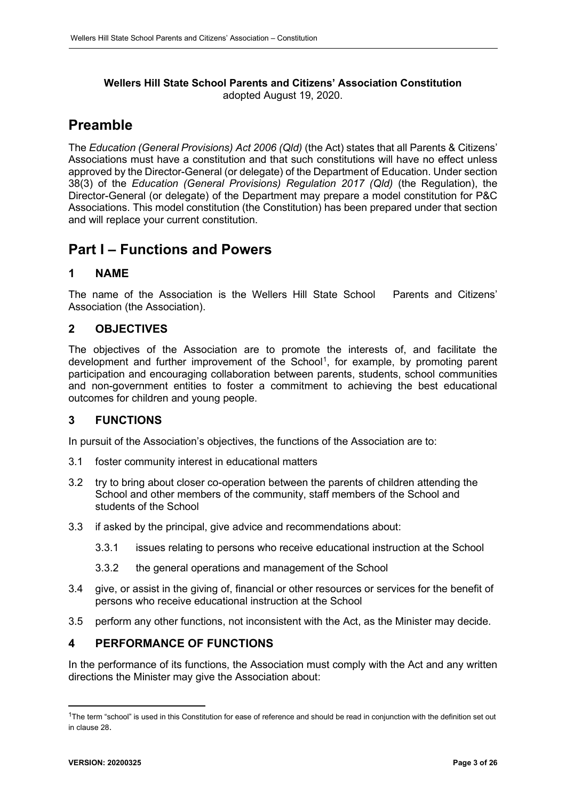#### **Wellers Hill State School Parents and Citizens' Association Constitution** adopted August 19, 2020.

# <span id="page-2-0"></span>**Preamble**

The *Education (General Provisions) Act 2006 (Qld)* (the Act) states that all Parents & Citizens' Associations must have a constitution and that such constitutions will have no effect unless approved by the Director-General (or delegate) of the Department of Education. Under section 38(3) of the *Education (General Provisions) Regulation 2017 (Qld)* (the Regulation), the Director-General (or delegate) of the Department may prepare a model constitution for P&C Associations. This model constitution (the Constitution) has been prepared under that section and will replace your current constitution.

# <span id="page-2-1"></span>**Part I – Functions and Powers**

## <span id="page-2-2"></span>**1 NAME**

The name of the Association is the Wellers Hill State School Parents and Citizens' Association (the Association).

## <span id="page-2-3"></span>**2 OBJECTIVES**

The objectives of the Association are to promote the interests of, and facilitate the development and further improvement of the School<sup>[1](#page-2-6)</sup>, for example, by promoting parent participation and encouraging collaboration between parents, students, school communities and non-government entities to foster a commitment to achieving the best educational outcomes for children and young people.

## <span id="page-2-4"></span>**3 FUNCTIONS**

In pursuit of the Association's objectives, the functions of the Association are to:

- 3.1 foster community interest in educational matters
- 3.2 try to bring about closer co-operation between the parents of children attending the School and other members of the community, staff members of the School and students of the School
- 3.3 if asked by the principal, give advice and recommendations about:
	- 3.3.1 issues relating to persons who receive educational instruction at the School
	- 3.3.2 the general operations and management of the School
- 3.4 give, or assist in the giving of, financial or other resources or services for the benefit of persons who receive educational instruction at the School
- 3.5 perform any other functions, not inconsistent with the Act, as the Minister may decide.

### <span id="page-2-5"></span>**4 PERFORMANCE OF FUNCTIONS**

In the performance of its functions, the Association must comply with the Act and any written directions the Minister may give the Association about:

<span id="page-2-6"></span><sup>&</sup>lt;sup>1</sup>The term "school" is used in this Constitution for ease of reference and should be read in conjunction with the definition set out in clause [28.](#page-25-2)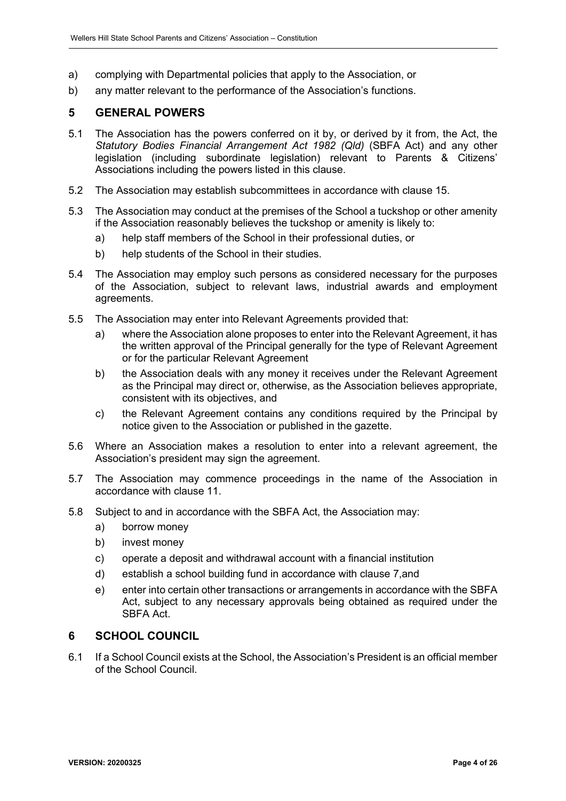- a) complying with Departmental policies that apply to the Association, or
- b) any matter relevant to the performance of the Association's functions.

## <span id="page-3-0"></span>**5 GENERAL POWERS**

- 5.1 The Association has the powers conferred on it by, or derived by it from, the Act, the *Statutory Bodies Financial Arrangement Act 1982 (Qld)* (SBFA Act) and any other legislation (including subordinate legislation) relevant to Parents & Citizens' Associations including the powers listed in this clause.
- 5.2 The Association may establish subcommittees in accordance with clause [15.](#page-12-2)
- 5.3 The Association may conduct at the premises of the School a tuckshop or other amenity if the Association reasonably believes the tuckshop or amenity is likely to:
	- a) help staff members of the School in their professional duties, or
	- b) help students of the School in their studies.
- 5.4 The Association may employ such persons as considered necessary for the purposes of the Association, subject to relevant laws, industrial awards and employment agreements.
- 5.5 The Association may enter into Relevant Agreements provided that:
	- a) where the Association alone proposes to enter into the Relevant Agreement, it has the written approval of the Principal generally for the type of Relevant Agreement or for the particular Relevant Agreement
	- b) the Association deals with any money it receives under the Relevant Agreement as the Principal may direct or, otherwise, as the Association believes appropriate, consistent with its objectives, and
	- c) the Relevant Agreement contains any conditions required by the Principal by notice given to the Association or published in the gazette.
- 5.6 Where an Association makes a resolution to enter into a relevant agreement, the Association's president may sign the agreement.
- 5.7 The Association may commence proceedings in the name of the Association in accordance with clause [11.](#page-6-6)
- 5.8 Subject to and in accordance with the SBFA Act, the Association may:
	- a) borrow money
	- b) invest money
	- c) operate a deposit and withdrawal account with a financial institution
	- d) establish a school building fund in accordance with clause 7,and
	- e) enter into certain other transactions or arrangements in accordance with the SBFA Act, subject to any necessary approvals being obtained as required under the SBFA Act.

### <span id="page-3-1"></span>**6 SCHOOL COUNCIL**

6.1 If a School Council exists at the School, the Association's President is an official member of the School Council.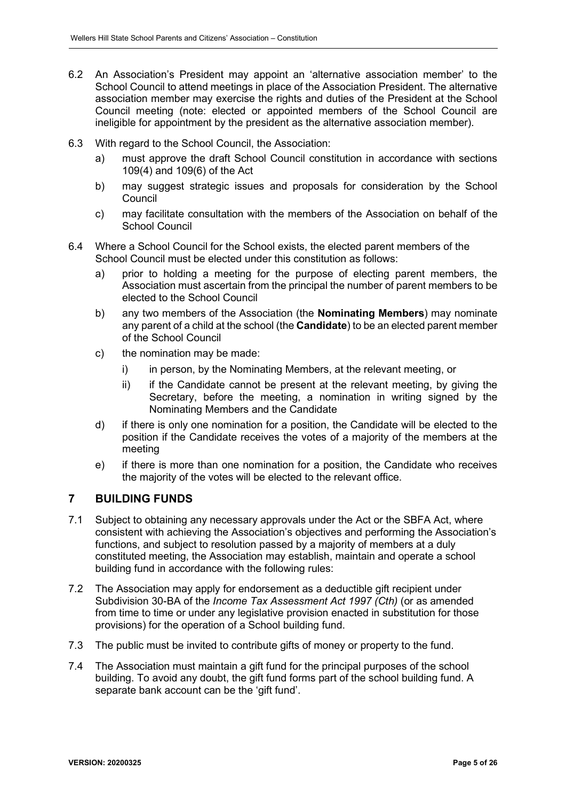- 6.2 An Association's President may appoint an 'alternative association member' to the School Council to attend meetings in place of the Association President. The alternative association member may exercise the rights and duties of the President at the School Council meeting (note: elected or appointed members of the School Council are ineligible for appointment by the president as the alternative association member).
- 6.3 With regard to the School Council, the Association:
	- a) must approve the draft School Council constitution in accordance with sections 109(4) and 109(6) of the Act
	- b) may suggest strategic issues and proposals for consideration by the School Council
	- c) may facilitate consultation with the members of the Association on behalf of the School Council
- 6.4 Where a School Council for the School exists, the elected parent members of the School Council must be elected under this constitution as follows:
	- a) prior to holding a meeting for the purpose of electing parent members, the Association must ascertain from the principal the number of parent members to be elected to the School Council
	- b) any two members of the Association (the **Nominating Members**) may nominate any parent of a child at the school (the **Candidate**) to be an elected parent member of the School Council
	- c) the nomination may be made:
		- i) in person, by the Nominating Members, at the relevant meeting, or
		- ii) if the Candidate cannot be present at the relevant meeting, by giving the Secretary, before the meeting, a nomination in writing signed by the Nominating Members and the Candidate
	- d) if there is only one nomination for a position, the Candidate will be elected to the position if the Candidate receives the votes of a majority of the members at the meeting
	- e) if there is more than one nomination for a position, the Candidate who receives the majority of the votes will be elected to the relevant office.

## <span id="page-4-0"></span>**7 BUILDING FUNDS**

- 7.1 Subject to obtaining any necessary approvals under the Act or the SBFA Act, where consistent with achieving the Association's objectives and performing the Association's functions, and subject to resolution passed by a majority of members at a duly constituted meeting, the Association may establish, maintain and operate a school building fund in accordance with the following rules:
- 7.2 The Association may apply for endorsement as a deductible gift recipient under Subdivision 30-BA of the *Income Tax Assessment Act 1997 (Cth)* (or as amended from time to time or under any legislative provision enacted in substitution for those provisions) for the operation of a School building fund.
- 7.3 The public must be invited to contribute gifts of money or property to the fund.
- 7.4 The Association must maintain a gift fund for the principal purposes of the school building. To avoid any doubt, the gift fund forms part of the school building fund. A separate bank account can be the 'gift fund'.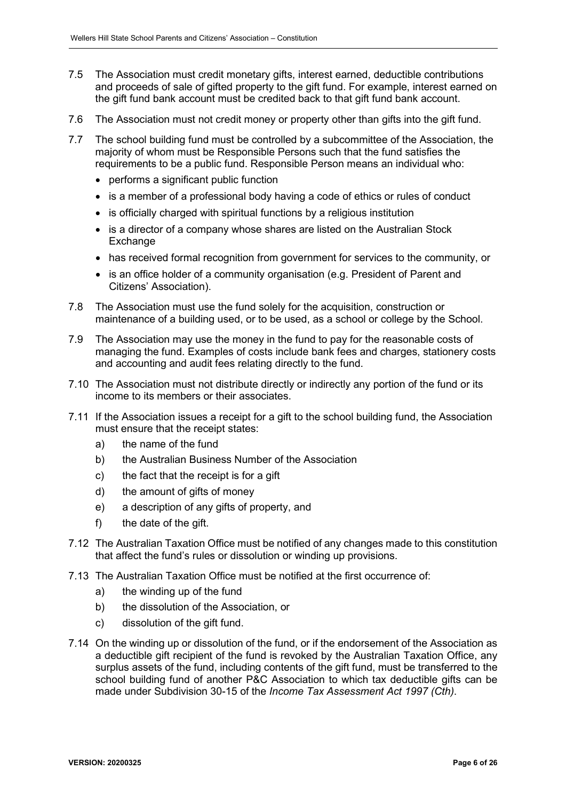- 7.5 The Association must credit monetary gifts, interest earned, deductible contributions and proceeds of sale of gifted property to the gift fund. For example, interest earned on the gift fund bank account must be credited back to that gift fund bank account.
- 7.6 The Association must not credit money or property other than gifts into the gift fund.
- 7.7 The school building fund must be controlled by a subcommittee of the Association, the majority of whom must be Responsible Persons such that the fund satisfies the requirements to be a public fund. Responsible Person means an individual who:
	- performs a significant public function
	- is a member of a professional body having a code of ethics or rules of conduct
	- is officially charged with spiritual functions by a religious institution
	- is a director of a company whose shares are listed on the Australian Stock Exchange
	- has received formal recognition from government for services to the community, or
	- is an office holder of a community organisation (e.g. President of Parent and Citizens' Association).
- 7.8 The Association must use the fund solely for the acquisition, construction or maintenance of a building used, or to be used, as a school or college by the School.
- 7.9 The Association may use the money in the fund to pay for the reasonable costs of managing the fund. Examples of costs include bank fees and charges, stationery costs and accounting and audit fees relating directly to the fund.
- 7.10 The Association must not distribute directly or indirectly any portion of the fund or its income to its members or their associates.
- 7.11 If the Association issues a receipt for a gift to the school building fund, the Association must ensure that the receipt states:
	- a) the name of the fund
	- b) the Australian Business Number of the Association
	- c) the fact that the receipt is for a gift
	- d) the amount of gifts of money
	- e) a description of any gifts of property, and
	- f) the date of the gift.
- 7.12 The Australian Taxation Office must be notified of any changes made to this constitution that affect the fund's rules or dissolution or winding up provisions.
- 7.13 The Australian Taxation Office must be notified at the first occurrence of:
	- a) the winding up of the fund
	- b) the dissolution of the Association, or
	- c) dissolution of the gift fund.
- 7.14 On the winding up or dissolution of the fund, or if the endorsement of the Association as a deductible gift recipient of the fund is revoked by the Australian Taxation Office, any surplus assets of the fund, including contents of the gift fund, must be transferred to the school building fund of another P&C Association to which tax deductible gifts can be made under Subdivision 30-15 of the *Income Tax Assessment Act 1997 (Cth)*.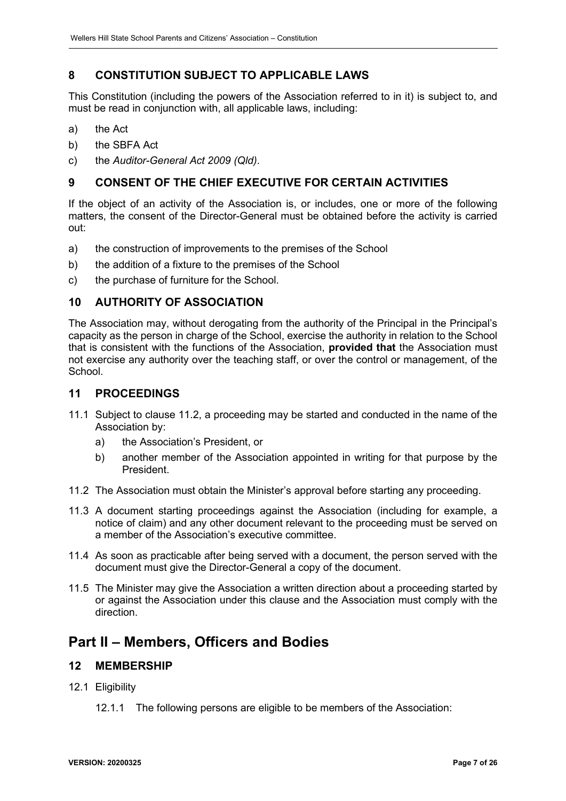## <span id="page-6-0"></span>**8 CONSTITUTION SUBJECT TO APPLICABLE LAWS**

This Constitution (including the powers of the Association referred to in it) is subject to, and must be read in conjunction with, all applicable laws, including:

- a) the Act
- b) the SBFA Act
- c) the *Auditor-General Act 2009 (Qld)*.

## <span id="page-6-1"></span>**9 CONSENT OF THE CHIEF EXECUTIVE FOR CERTAIN ACTIVITIES**

<span id="page-6-2"></span>If the object of an activity of the Association is, or includes, one or more of the following matters, the consent of the Director-General must be obtained before the activity is carried out:

- a) the construction of improvements to the premises of the School
- b) the addition of a fixture to the premises of the School
- c) the purchase of furniture for the School.

### **10 AUTHORITY OF ASSOCIATION**

The Association may, without derogating from the authority of the Principal in the Principal's capacity as the person in charge of the School, exercise the authority in relation to the School that is consistent with the functions of the Association, **provided that** the Association must not exercise any authority over the teaching staff, or over the control or management, of the **School** 

### <span id="page-6-6"></span><span id="page-6-3"></span>**11 PROCEEDINGS**

- 11.1 Subject to clause [11.2,](#page-6-7) a proceeding may be started and conducted in the name of the Association by:
	- a) the Association's President, or
	- b) another member of the Association appointed in writing for that purpose by the President.
- <span id="page-6-7"></span>11.2 The Association must obtain the Minister's approval before starting any proceeding.
- 11.3 A document starting proceedings against the Association (including for example, a notice of claim) and any other document relevant to the proceeding must be served on a member of the Association's executive committee.
- 11.4 As soon as practicable after being served with a document, the person served with the document must give the Director-General a copy of the document.
- 11.5 The Minister may give the Association a written direction about a proceeding started by or against the Association under this clause and the Association must comply with the direction.

## <span id="page-6-4"></span>**Part II – Members, Officers and Bodies**

### <span id="page-6-5"></span>**12 MEMBERSHIP**

- 12.1 Eligibility
	- 12.1.1 The following persons are eligible to be members of the Association: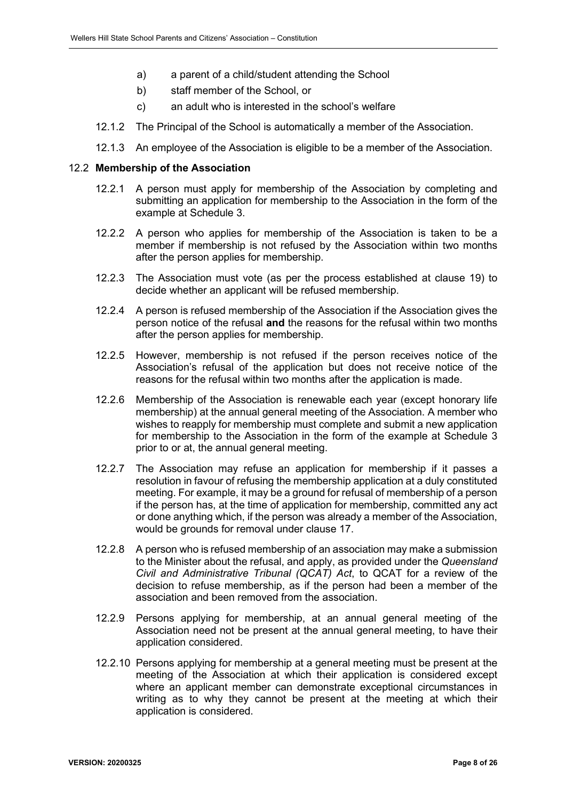- a) a parent of a child/student attending the School
- b) staff member of the School, or
- c) an adult who is interested in the school's welfare
- 12.1.2 The Principal of the School is automatically a member of the Association.
- 12.1.3 An employee of the Association is eligible to be a member of the Association.

#### 12.2 **Membership of the Association**

- 12.2.1 A person must apply for membership of the Association by completing and submitting an application for membership to the Association in the form of the example at Schedule 3.
- 12.2.2 A person who applies for membership of the Association is taken to be a member if membership is not refused by the Association within two months after the person applies for membership.
- 12.2.3 The Association must vote (as per the process established at clause 19) to decide whether an applicant will be refused membership.
- 12.2.4 A person is refused membership of the Association if the Association gives the person notice of the refusal **and** the reasons for the refusal within two months after the person applies for membership.
- 12.2.5 However, membership is not refused if the person receives notice of the Association's refusal of the application but does not receive notice of the reasons for the refusal within two months after the application is made.
- 12.2.6 Membership of the Association is renewable each year (except honorary life membership) at the annual general meeting of the Association. A member who wishes to reapply for membership must complete and submit a new application for membership to the Association in the form of the example at Schedule 3 prior to or at, the annual general meeting.
- 12.2.7 The Association may refuse an application for membership if it passes a resolution in favour of refusing the membership application at a duly constituted meeting. For example, it may be a ground for refusal of membership of a person if the person has, at the time of application for membership, committed any act or done anything which, if the person was already a member of the Association, would be grounds for removal under clause [17.](#page-13-1)
- 12.2.8 A person who is refused membership of an association may make a submission to the Minister about the refusal, and apply, as provided under the *Queensland Civil and Administrative Tribunal (QCAT) Act*, to QCAT for a review of the decision to refuse membership, as if the person had been a member of the association and been removed from the association.
- 12.2.9 Persons applying for membership, at an annual general meeting of the Association need not be present at the annual general meeting, to have their application considered.
- 12.2.10 Persons applying for membership at a general meeting must be present at the meeting of the Association at which their application is considered except where an applicant member can demonstrate exceptional circumstances in writing as to why they cannot be present at the meeting at which their application is considered.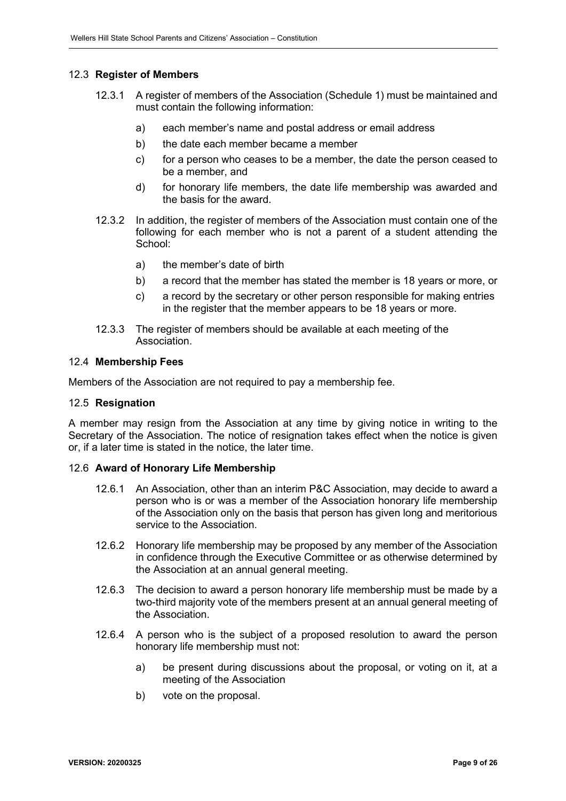#### 12.3 **Register of Members**

- 12.3.1 A register of members of the Association (Schedule 1) must be maintained and must contain the following information:
	- a) each member's name and postal address or email address
	- b) the date each member became a member
	- c) for a person who ceases to be a member, the date the person ceased to be a member, and
	- d) for honorary life members, the date life membership was awarded and the basis for the award.
- 12.3.2 In addition, the register of members of the Association must contain one of the following for each member who is not a parent of a student attending the School:
	- a) the member's date of birth
	- b) a record that the member has stated the member is 18 years or more, or
	- c) a record by the secretary or other person responsible for making entries in the register that the member appears to be 18 years or more.
- 12.3.3 The register of members should be available at each meeting of the Association.

#### 12.4 **Membership Fees**

Members of the Association are not required to pay a membership fee.

#### 12.5 **Resignation**

A member may resign from the Association at any time by giving notice in writing to the Secretary of the Association. The notice of resignation takes effect when the notice is given or, if a later time is stated in the notice, the later time.

#### 12.6 **Award of Honorary Life Membership**

- 12.6.1 An Association, other than an interim P&C Association, may decide to award a person who is or was a member of the Association honorary life membership of the Association only on the basis that person has given long and meritorious service to the Association.
- 12.6.2 Honorary life membership may be proposed by any member of the Association in confidence through the Executive Committee or as otherwise determined by the Association at an annual general meeting.
- 12.6.3 The decision to award a person honorary life membership must be made by a two-third majority vote of the members present at an annual general meeting of the Association.
- 12.6.4 A person who is the subject of a proposed resolution to award the person honorary life membership must not:
	- a) be present during discussions about the proposal, or voting on it, at a meeting of the Association
	- b) vote on the proposal.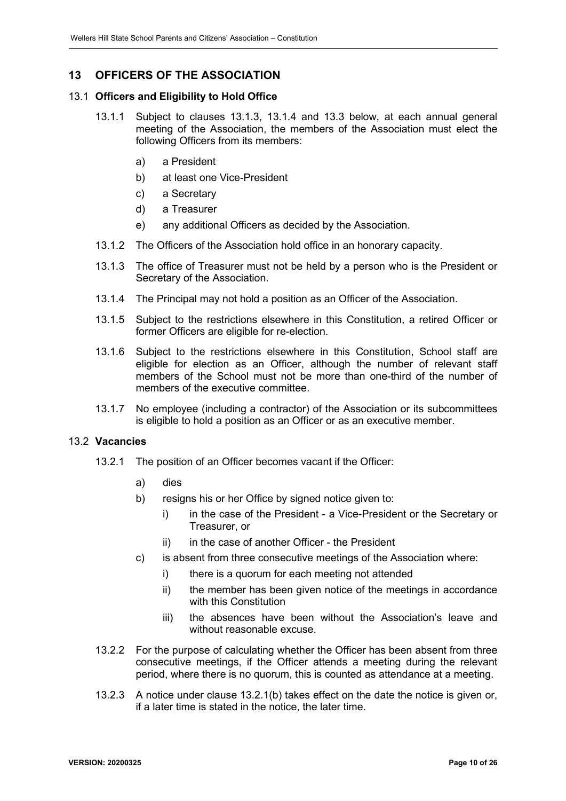## <span id="page-9-0"></span>**13 OFFICERS OF THE ASSOCIATION**

#### <span id="page-9-5"></span>13.1 **Officers and Eligibility to Hold Office**

- 13.1.1 Subject to clauses [13.1.3,](#page-9-1) [13.1.4](#page-9-2) and [13.3](#page-10-1) below, at each annual general meeting of the Association, the members of the Association must elect the following Officers from its members:
	- a) a President
	- b) at least one Vice-President
	- c) a Secretary
	- d) a Treasurer
	- e) any additional Officers as decided by the Association.
- 13.1.2 The Officers of the Association hold office in an honorary capacity.
- <span id="page-9-1"></span>13.1.3 The office of Treasurer must not be held by a person who is the President or Secretary of the Association.
- <span id="page-9-2"></span>13.1.4 The Principal may not hold a position as an Officer of the Association.
- 13.1.5 Subject to the restrictions elsewhere in this Constitution, a retired Officer or former Officers are eligible for re-election.
- 13.1.6 Subject to the restrictions elsewhere in this Constitution, School staff are eligible for election as an Officer, although the number of relevant staff members of the School must not be more than one-third of the number of members of the executive committee.
- 13.1.7 No employee (including a contractor) of the Association or its subcommittees is eligible to hold a position as an Officer or as an executive member.

#### <span id="page-9-3"></span>13.2 **Vacancies**

- <span id="page-9-4"></span>13.2.1 The position of an Officer becomes vacant if the Officer:
	- a) dies
	- b) resigns his or her Office by signed notice given to:
		- i) in the case of the President a Vice-President or the Secretary or Treasurer, or
		- ii) in the case of another Officer the President
	- c) is absent from three consecutive meetings of the Association where:
		- i) there is a quorum for each meeting not attended
		- ii) the member has been given notice of the meetings in accordance with this Constitution
		- iii) the absences have been without the Association's leave and without reasonable excuse.
- 13.2.2 For the purpose of calculating whether the Officer has been absent from three consecutive meetings, if the Officer attends a meeting during the relevant period, where there is no quorum, this is counted as attendance at a meeting.
- 13.2.3 A notice under clause [13.2.1](#page-9-3)[\(b\)](#page-9-4) takes effect on the date the notice is given or, if a later time is stated in the notice, the later time.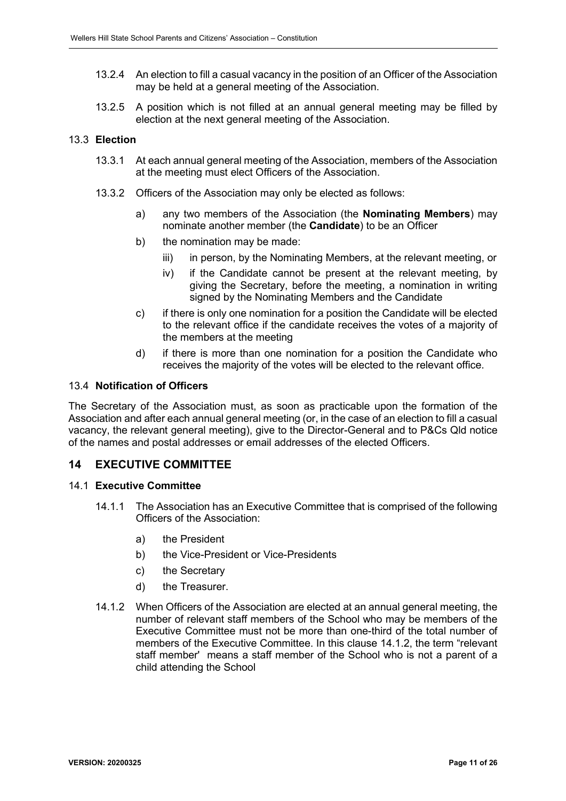- 13.2.4 An election to fill a casual vacancy in the position of an Officer of the Association may be held at a general meeting of the Association.
- 13.2.5 A position which is not filled at an annual general meeting may be filled by election at the next general meeting of the Association.

#### <span id="page-10-1"></span>13.3 **Election**

- 13.3.1 At each annual general meeting of the Association, members of the Association at the meeting must elect Officers of the Association.
- 13.3.2 Officers of the Association may only be elected as follows:
	- a) any two members of the Association (the **Nominating Members**) may nominate another member (the **Candidate**) to be an Officer
	- b) the nomination may be made:
		- iii) in person, by the Nominating Members, at the relevant meeting, or
		- iv) if the Candidate cannot be present at the relevant meeting, by giving the Secretary, before the meeting, a nomination in writing signed by the Nominating Members and the Candidate
	- c) if there is only one nomination for a position the Candidate will be elected to the relevant office if the candidate receives the votes of a majority of the members at the meeting
	- d) if there is more than one nomination for a position the Candidate who receives the majority of the votes will be elected to the relevant office.

#### 13.4 **Notification of Officers**

The Secretary of the Association must, as soon as practicable upon the formation of the Association and after each annual general meeting (or, in the case of an election to fill a casual vacancy, the relevant general meeting), give to the Director-General and to P&Cs Qld notice of the names and postal addresses or email addresses of the elected Officers.

### <span id="page-10-0"></span>**14 EXECUTIVE COMMITTEE**

#### <span id="page-10-3"></span>14.1 **Executive Committee**

- 14.1.1 The Association has an Executive Committee that is comprised of the following Officers of the Association:
	- a) the President
	- b) the Vice-President or Vice-Presidents
	- c) the Secretary
	- d) the Treasurer.
- <span id="page-10-2"></span>14.1.2 When Officers of the Association are elected at an annual general meeting, the number of relevant staff members of the School who may be members of the Executive Committee must not be more than one-third of the total number of members of the Executive Committee. In this clause [14.1.2,](#page-10-2) the term "relevant staff member' means a staff member of the School who is not a parent of a child attending the School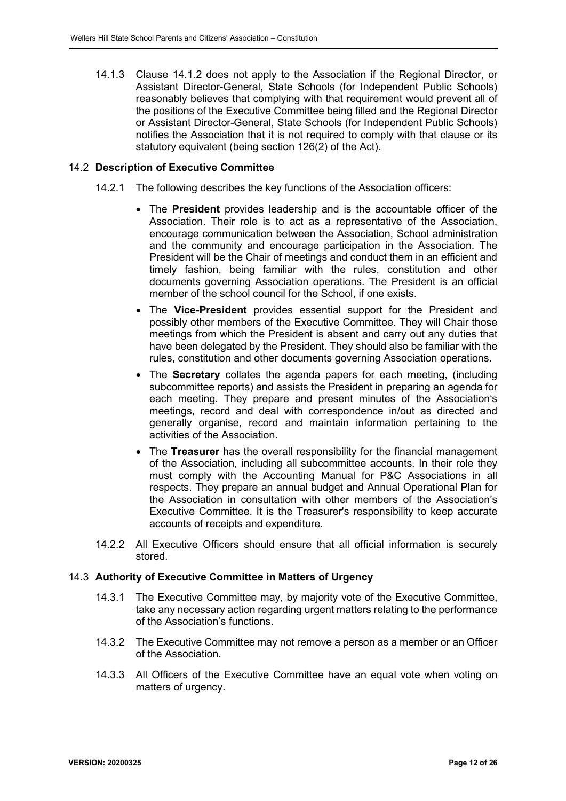14.1.3 Clause [14.1.2](#page-10-2) does not apply to the Association if the Regional Director, or Assistant Director-General, State Schools (for Independent Public Schools) reasonably believes that complying with that requirement would prevent all of the positions of the Executive Committee being filled and the Regional Director or Assistant Director-General, State Schools (for Independent Public Schools) notifies the Association that it is not required to comply with that clause or its statutory equivalent (being section 126(2) of the Act).

#### 14.2 **Description of Executive Committee**

- 14.2.1 The following describes the key functions of the Association officers:
	- The **President** provides leadership and is the accountable officer of the Association. Their role is to act as a representative of the Association, encourage communication between the Association, School administration and the community and encourage participation in the Association. The President will be the Chair of meetings and conduct them in an efficient and timely fashion, being familiar with the rules, constitution and other documents governing Association operations. The President is an official member of the school council for the School, if one exists.
	- The **Vice-President** provides essential support for the President and possibly other members of the Executive Committee. They will Chair those meetings from which the President is absent and carry out any duties that have been delegated by the President. They should also be familiar with the rules, constitution and other documents governing Association operations.
	- The **Secretary** collates the agenda papers for each meeting, (including subcommittee reports) and assists the President in preparing an agenda for each meeting. They prepare and present minutes of the Association's meetings, record and deal with correspondence in/out as directed and generally organise, record and maintain information pertaining to the activities of the Association.
	- The **Treasurer** has the overall responsibility for the financial management of the Association, including all subcommittee accounts. In their role they must comply with the Accounting Manual for P&C Associations in all respects. They prepare an annual budget and Annual Operational Plan for the Association in consultation with other members of the Association's Executive Committee. It is the Treasurer's responsibility to keep accurate accounts of receipts and expenditure.
- 14.2.2 All Executive Officers should ensure that all official information is securely stored.

#### 14.3 **Authority of Executive Committee in Matters of Urgency**

- 14.3.1 The Executive Committee may, by majority vote of the Executive Committee, take any necessary action regarding urgent matters relating to the performance of the Association's functions.
- 14.3.2 The Executive Committee may not remove a person as a member or an Officer of the Association.
- 14.3.3 All Officers of the Executive Committee have an equal vote when voting on matters of urgency.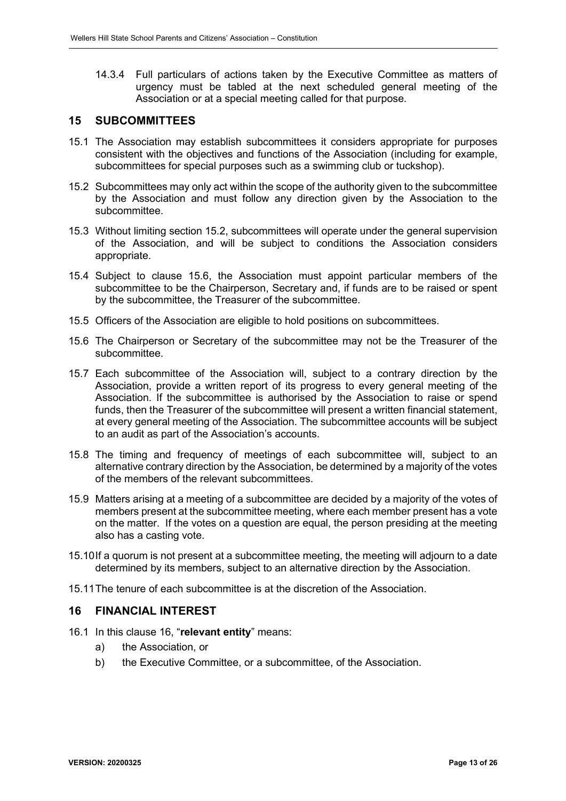14.3.4 Full particulars of actions taken by the Executive Committee as matters of urgency must be tabled at the next scheduled general meeting of the Association or at a special meeting called for that purpose.

### <span id="page-12-2"></span><span id="page-12-0"></span>**15 SUBCOMMITTEES**

- 15.1 The Association may establish subcommittees it considers appropriate for purposes consistent with the objectives and functions of the Association (including for example, subcommittees for special purposes such as a swimming club or tuckshop).
- 15.2 Subcommittees may only act within the scope of the authority given to the subcommittee by the Association and must follow any direction given by the Association to the subcommittee.
- 15.3 Without limiting section 15.2, subcommittees will operate under the general supervision of the Association, and will be subject to conditions the Association considers appropriate.
- 15.4 Subject to clause [15.6,](#page-12-3) the Association must appoint particular members of the subcommittee to be the Chairperson, Secretary and, if funds are to be raised or spent by the subcommittee, the Treasurer of the subcommittee.
- 15.5 Officers of the Association are eligible to hold positions on subcommittees.
- <span id="page-12-3"></span>15.6 The Chairperson or Secretary of the subcommittee may not be the Treasurer of the subcommittee.
- 15.7 Each subcommittee of the Association will, subject to a contrary direction by the Association, provide a written report of its progress to every general meeting of the Association. If the subcommittee is authorised by the Association to raise or spend funds, then the Treasurer of the subcommittee will present a written financial statement, at every general meeting of the Association. The subcommittee accounts will be subject to an audit as part of the Association's accounts.
- 15.8 The timing and frequency of meetings of each subcommittee will, subject to an alternative contrary direction by the Association, be determined by a majority of the votes of the members of the relevant subcommittees.
- 15.9 Matters arising at a meeting of a subcommittee are decided by a majority of the votes of members present at the subcommittee meeting, where each member present has a vote on the matter. If the votes on a question are equal, the person presiding at the meeting also has a casting vote.
- 15.10If a quorum is not present at a subcommittee meeting, the meeting will adjourn to a date determined by its members, subject to an alternative direction by the Association.
- 15.11The tenure of each subcommittee is at the discretion of the Association.

### <span id="page-12-4"></span><span id="page-12-1"></span>**16 FINANCIAL INTEREST**

- 16.1 In this clause [16,](#page-12-4) "**relevant entity**" means:
	- a) the Association, or
	- b) the Executive Committee, or a subcommittee, of the Association.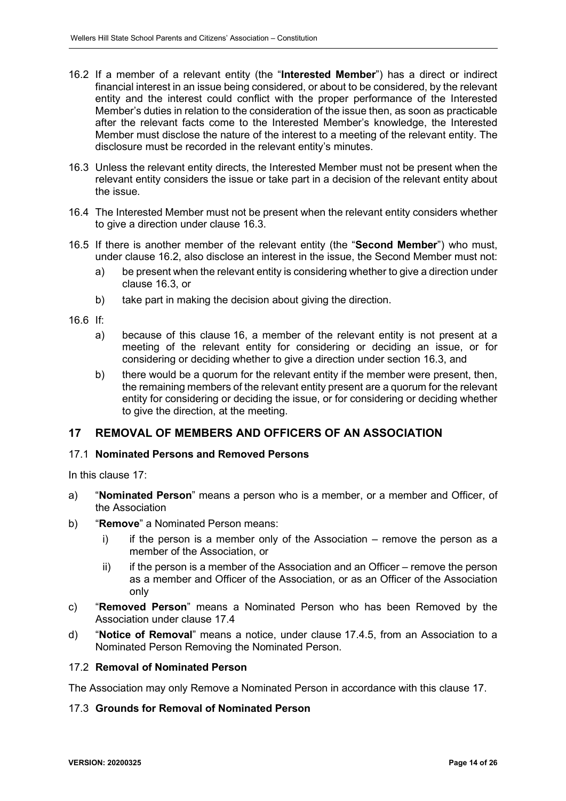- <span id="page-13-3"></span>16.2 If a member of a relevant entity (the "**Interested Member**") has a direct or indirect financial interest in an issue being considered, or about to be considered, by the relevant entity and the interest could conflict with the proper performance of the Interested Member's duties in relation to the consideration of the issue then, as soon as practicable after the relevant facts come to the Interested Member's knowledge, the Interested Member must disclose the nature of the interest to a meeting of the relevant entity. The disclosure must be recorded in the relevant entity's minutes.
- <span id="page-13-2"></span>16.3 Unless the relevant entity directs, the Interested Member must not be present when the relevant entity considers the issue or take part in a decision of the relevant entity about the issue.
- 16.4 The Interested Member must not be present when the relevant entity considers whether to give a direction under clause [16.3.](#page-13-2)
- 16.5 If there is another member of the relevant entity (the "**Second Member**") who must, under clause [16.2,](#page-13-3) also disclose an interest in the issue, the Second Member must not:
	- a) be present when the relevant entity is considering whether to give a direction under clause [16.3,](#page-13-2) or
	- b) take part in making the decision about giving the direction.
- $16.6$  If
	- a) because of this clause [16,](#page-12-4) a member of the relevant entity is not present at a meeting of the relevant entity for considering or deciding an issue, or for considering or deciding whether to give a direction under section [16.3,](#page-13-2) and
	- b) there would be a quorum for the relevant entity if the member were present, then, the remaining members of the relevant entity present are a quorum for the relevant entity for considering or deciding the issue, or for considering or deciding whether to give the direction, at the meeting.

## <span id="page-13-1"></span><span id="page-13-0"></span>**17 REMOVAL OF MEMBERS AND OFFICERS OF AN ASSOCIATION**

#### 17.1 **Nominated Persons and Removed Persons**

In this clause 17:

- a) "**Nominated Person**" means a person who is a member, or a member and Officer, of the Association
- b) "**Remove**" a Nominated Person means:
	- i) if the person is a member only of the Association remove the person as a member of the Association, or
	- $ii)$  if the person is a member of the Association and an Officer remove the person as a member and Officer of the Association, or as an Officer of the Association only
- c) "**Removed Person**" means a Nominated Person who has been Removed by the Association under clause [17.4](#page-14-0)
- d) "**Notice of Removal**" means a notice, under clause [17.4.5,](#page-14-1) from an Association to a Nominated Person Removing the Nominated Person.

#### 17.2 **Removal of Nominated Person**

The Association may only Remove a Nominated Person in accordance with this clause [17.](#page-13-1)

#### 17.3 **Grounds for Removal of Nominated Person**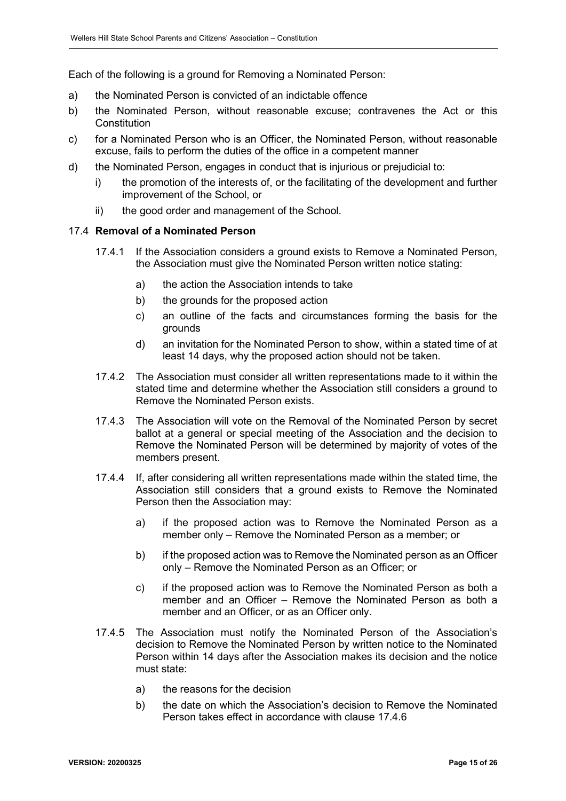Each of the following is a ground for Removing a Nominated Person:

- a) the Nominated Person is convicted of an indictable offence
- b) the Nominated Person, without reasonable excuse; contravenes the Act or this **Constitution**
- c) for a Nominated Person who is an Officer, the Nominated Person, without reasonable excuse, fails to perform the duties of the office in a competent manner
- d) the Nominated Person, engages in conduct that is injurious or prejudicial to:
	- i) the promotion of the interests of, or the facilitating of the development and further improvement of the School, or
	- ii) the good order and management of the School.

#### <span id="page-14-0"></span>17.4 **Removal of a Nominated Person**

- 17.4.1 If the Association considers a ground exists to Remove a Nominated Person, the Association must give the Nominated Person written notice stating:
	- a) the action the Association intends to take
	- b) the grounds for the proposed action
	- c) an outline of the facts and circumstances forming the basis for the grounds
	- d) an invitation for the Nominated Person to show, within a stated time of at least 14 days, why the proposed action should not be taken.
- 17.4.2 The Association must consider all written representations made to it within the stated time and determine whether the Association still considers a ground to Remove the Nominated Person exists.
- 17.4.3 The Association will vote on the Removal of the Nominated Person by secret ballot at a general or special meeting of the Association and the decision to Remove the Nominated Person will be determined by majority of votes of the members present.
- <span id="page-14-2"></span>17.4.4 If, after considering all written representations made within the stated time, the Association still considers that a ground exists to Remove the Nominated Person then the Association may:
	- a) if the proposed action was to Remove the Nominated Person as a member only – Remove the Nominated Person as a member; or
	- b) if the proposed action was to Remove the Nominated person as an Officer only – Remove the Nominated Person as an Officer; or
	- c) if the proposed action was to Remove the Nominated Person as both a member and an Officer – Remove the Nominated Person as both a member and an Officer, or as an Officer only.
- <span id="page-14-1"></span>17.4.5 The Association must notify the Nominated Person of the Association's decision to Remove the Nominated Person by written notice to the Nominated Person within 14 days after the Association makes its decision and the notice must state:
	- a) the reasons for the decision
	- b) the date on which the Association's decision to Remove the Nominated Person takes effect in accordance with clause 17.4.6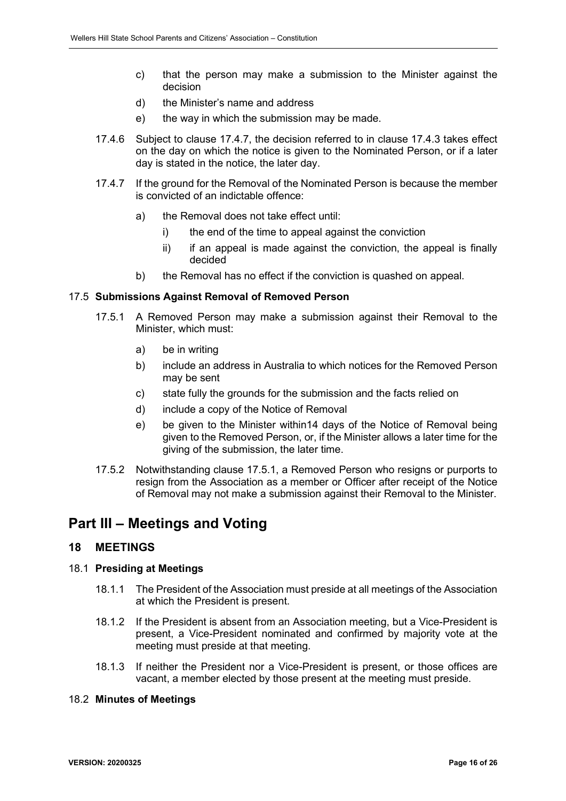- c) that the person may make a submission to the Minister against the decision
- d) the Minister's name and address
- e) the way in which the submission may be made.
- 17.4.6 Subject to clause [17.4.7,](#page-15-2) the decision referred to in clause [17.4.3](#page-14-2) takes effect on the day on which the notice is given to the Nominated Person, or if a later day is stated in the notice, the later day.
- <span id="page-15-2"></span>17.4.7 If the ground for the Removal of the Nominated Person is because the member is convicted of an indictable offence:
	- a) the Removal does not take effect until:
		- i) the end of the time to appeal against the conviction
		- $ii)$  if an appeal is made against the conviction, the appeal is finally decided
	- b) the Removal has no effect if the conviction is quashed on appeal.

#### <span id="page-15-3"></span>17.5 **Submissions Against Removal of Removed Person**

- 17.5.1 A Removed Person may make a submission against their Removal to the Minister, which must:
	- a) be in writing
	- b) include an address in Australia to which notices for the Removed Person may be sent
	- c) state fully the grounds for the submission and the facts relied on
	- d) include a copy of the Notice of Removal
	- e) be given to the Minister within14 days of the Notice of Removal being given to the Removed Person, or, if the Minister allows a later time for the giving of the submission, the later time.
- 17.5.2 Notwithstanding clause [17.5.1,](#page-15-3) a Removed Person who resigns or purports to resign from the Association as a member or Officer after receipt of the Notice of Removal may not make a submission against their Removal to the Minister.

## <span id="page-15-0"></span>**Part III – Meetings and Voting**

### <span id="page-15-1"></span>**18 MEETINGS**

#### 18.1 **Presiding at Meetings**

- 18.1.1 The President of the Association must preside at all meetings of the Association at which the President is present.
- 18.1.2 If the President is absent from an Association meeting, but a Vice-President is present, a Vice-President nominated and confirmed by majority vote at the meeting must preside at that meeting.
- 18.1.3 If neither the President nor a Vice-President is present, or those offices are vacant, a member elected by those present at the meeting must preside.

#### 18.2 **Minutes of Meetings**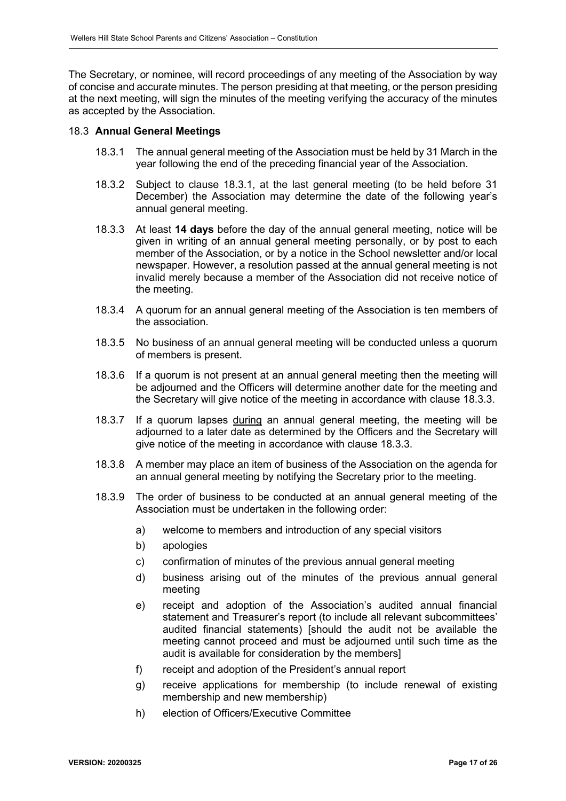The Secretary, or nominee, will record proceedings of any meeting of the Association by way of concise and accurate minutes. The person presiding at that meeting, or the person presiding at the next meeting, will sign the minutes of the meeting verifying the accuracy of the minutes as accepted by the Association.

#### 18.3 **Annual General Meetings**

- 18.3.1 The annual general meeting of the Association must be held by 31 March in the year following the end of the preceding financial year of the Association.
- 18.3.2 Subject to clause 18.3.1, at the last general meeting (to be held before 31 December) the Association may determine the date of the following year's annual general meeting.
- <span id="page-16-0"></span>18.3.3 At least **14 days** before the day of the annual general meeting, notice will be given in writing of an annual general meeting personally, or by post to each member of the Association, or by a notice in the School newsletter and/or local newspaper. However, a resolution passed at the annual general meeting is not invalid merely because a member of the Association did not receive notice of the meeting.
- 18.3.4 A quorum for an annual general meeting of the Association is ten members of the association.
- 18.3.5 No business of an annual general meeting will be conducted unless a quorum of members is present.
- 18.3.6 If a quorum is not present at an annual general meeting then the meeting will be adjourned and the Officers will determine another date for the meeting and the Secretary will give notice of the meeting in accordance with clause [18.3.3.](#page-16-0)
- 18.3.7 If a quorum lapses during an annual general meeting, the meeting will be adjourned to a later date as determined by the Officers and the Secretary will give notice of the meeting in accordance with clause [18.3.3.](#page-16-0)
- 18.3.8 A member may place an item of business of the Association on the agenda for an annual general meeting by notifying the Secretary prior to the meeting.
- 18.3.9 The order of business to be conducted at an annual general meeting of the Association must be undertaken in the following order:
	- a) welcome to members and introduction of any special visitors
	- b) apologies
	- c) confirmation of minutes of the previous annual general meeting
	- d) business arising out of the minutes of the previous annual general meeting
	- e) receipt and adoption of the Association's audited annual financial statement and Treasurer's report (to include all relevant subcommittees' audited financial statements) [should the audit not be available the meeting cannot proceed and must be adjourned until such time as the audit is available for consideration by the members]
	- f) receipt and adoption of the President's annual report
	- g) receive applications for membership (to include renewal of existing membership and new membership)
	- h) election of Officers/Executive Committee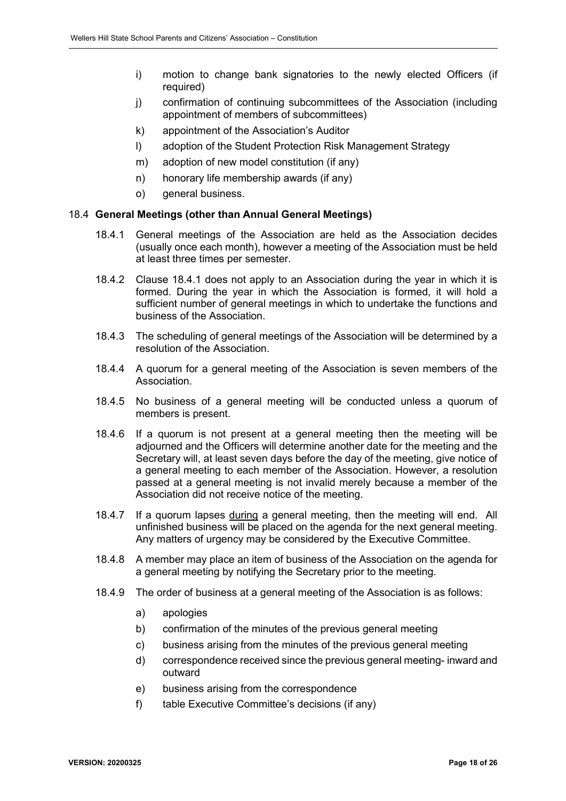- i) motion to change bank signatories to the newly elected Officers (if required)
- j) confirmation of continuing subcommittees of the Association (including appointment of members of subcommittees)
- k) appointment of the Association's Auditor
- l) adoption of the Student Protection Risk Management Strategy
- m) adoption of new model constitution (if any)
- n) honorary life membership awards (if any)
- o) general business.

#### 18.4 **General Meetings (other than Annual General Meetings)**

- 18.4.1 General meetings of the Association are held as the Association decides (usually once each month), however a meeting of the Association must be held at least three times per semester.
- 18.4.2 Clause 18.4.1 does not apply to an Association during the year in which it is formed. During the year in which the Association is formed, it will hold a sufficient number of general meetings in which to undertake the functions and business of the Association.
- 18.4.3 The scheduling of general meetings of the Association will be determined by a resolution of the Association.
- 18.4.4 A quorum for a general meeting of the Association is seven members of the Association.
- 18.4.5 No business of a general meeting will be conducted unless a quorum of members is present.
- 18.4.6 If a quorum is not present at a general meeting then the meeting will be adjourned and the Officers will determine another date for the meeting and the Secretary will, at least seven days before the day of the meeting, give notice of a general meeting to each member of the Association. However, a resolution passed at a general meeting is not invalid merely because a member of the Association did not receive notice of the meeting.
- 18.4.7 If a quorum lapses during a general meeting, then the meeting will end. All unfinished business will be placed on the agenda for the next general meeting. Any matters of urgency may be considered by the Executive Committee.
- 18.4.8 A member may place an item of business of the Association on the agenda for a general meeting by notifying the Secretary prior to the meeting.
- 18.4.9 The order of business at a general meeting of the Association is as follows:
	- a) apologies
	- b) confirmation of the minutes of the previous general meeting
	- c) business arising from the minutes of the previous general meeting
	- d) correspondence received since the previous general meeting- inward and outward
	- e) business arising from the correspondence
	- f) table Executive Committee's decisions (if any)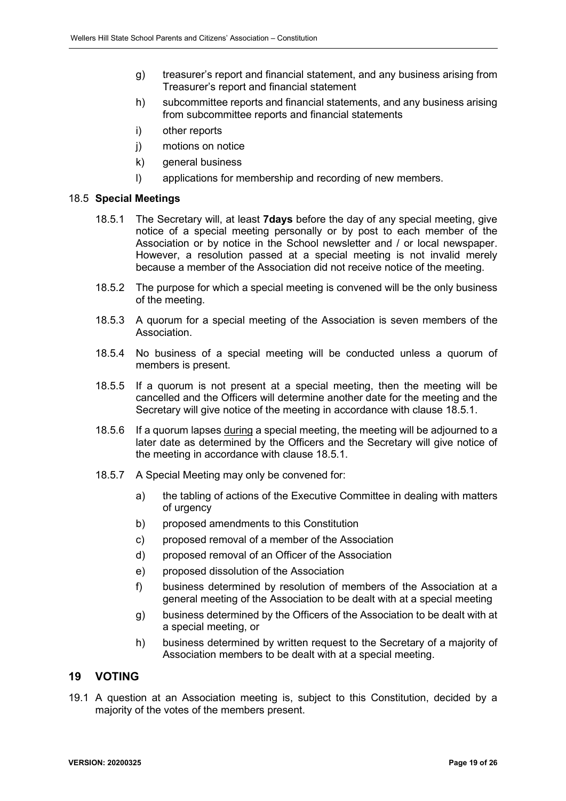- g) treasurer's report and financial statement, and any business arising from Treasurer's report and financial statement
- h) subcommittee reports and financial statements, and any business arising from subcommittee reports and financial statements
- i) other reports
- j) motions on notice
- k) general business
- l) applications for membership and recording of new members.

### <span id="page-18-1"></span>18.5 **Special Meetings**

- 18.5.1 The Secretary will, at least **7days** before the day of any special meeting, give notice of a special meeting personally or by post to each member of the Association or by notice in the School newsletter and / or local newspaper. However, a resolution passed at a special meeting is not invalid merely because a member of the Association did not receive notice of the meeting.
- 18.5.2 The purpose for which a special meeting is convened will be the only business of the meeting.
- 18.5.3 A quorum for a special meeting of the Association is seven members of the Association.
- 18.5.4 No business of a special meeting will be conducted unless a quorum of members is present.
- 18.5.5 If a quorum is not present at a special meeting, then the meeting will be cancelled and the Officers will determine another date for the meeting and the Secretary will give notice of the meeting in accordance with clause [18.5.1.](#page-18-1)
- 18.5.6 If a quorum lapses during a special meeting, the meeting will be adjourned to a later date as determined by the Officers and the Secretary will give notice of the meeting in accordance with clause [18.5.1.](#page-18-1)
- 18.5.7 A Special Meeting may only be convened for:
	- a) the tabling of actions of the Executive Committee in dealing with matters of urgency
	- b) proposed amendments to this Constitution
	- c) proposed removal of a member of the Association
	- d) proposed removal of an Officer of the Association
	- e) proposed dissolution of the Association
	- f) business determined by resolution of members of the Association at a general meeting of the Association to be dealt with at a special meeting
	- g) business determined by the Officers of the Association to be dealt with at a special meeting, or
	- h) business determined by written request to the Secretary of a majority of Association members to be dealt with at a special meeting.

### <span id="page-18-0"></span>**19 VOTING**

19.1 A question at an Association meeting is, subject to this Constitution, decided by a majority of the votes of the members present.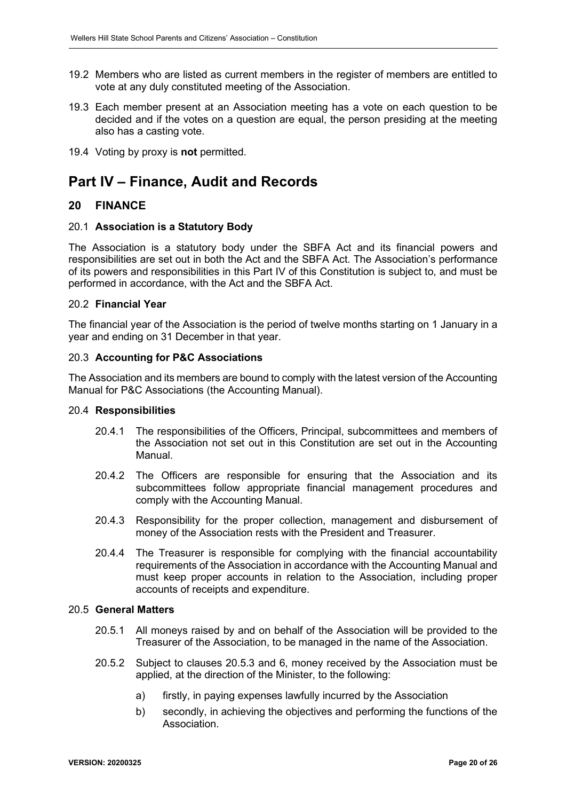- 19.2 Members who are listed as current members in the register of members are entitled to vote at any duly constituted meeting of the Association.
- 19.3 Each member present at an Association meeting has a vote on each question to be decided and if the votes on a question are equal, the person presiding at the meeting also has a casting vote.
- 19.4 Voting by proxy is **not** permitted.

# <span id="page-19-0"></span>**Part IV – Finance, Audit and Records**

### <span id="page-19-1"></span>**20 FINANCE**

#### 20.1 **Association is a Statutory Body**

The Association is a statutory body under the SBFA Act and its financial powers and responsibilities are set out in both the Act and the SBFA Act. The Association's performance of its powers and responsibilities in this Part IV of this Constitution is subject to, and must be performed in accordance, with the Act and the SBFA Act.

#### 20.2 **Financial Year**

The financial year of the Association is the period of twelve months starting on 1 January in a year and ending on 31 December in that year.

#### 20.3 **Accounting for P&C Associations**

The Association and its members are bound to comply with the latest version of the Accounting Manual for P&C Associations (the Accounting Manual).

#### 20.4 **Responsibilities**

- 20.4.1 The responsibilities of the Officers, Principal, subcommittees and members of the Association not set out in this Constitution are set out in the Accounting Manual.
- 20.4.2 The Officers are responsible for ensuring that the Association and its subcommittees follow appropriate financial management procedures and comply with the Accounting Manual.
- 20.4.3 Responsibility for the proper collection, management and disbursement of money of the Association rests with the President and Treasurer.
- 20.4.4 The Treasurer is responsible for complying with the financial accountability requirements of the Association in accordance with the Accounting Manual and must keep proper accounts in relation to the Association, including proper accounts of receipts and expenditure.

#### 20.5 **General Matters**

- 20.5.1 All moneys raised by and on behalf of the Association will be provided to the Treasurer of the Association, to be managed in the name of the Association.
- <span id="page-19-2"></span>20.5.2 Subject to clauses [20.5.3](#page-20-0) and 6, money received by the Association must be applied, at the direction of the Minister, to the following:
	- a) firstly, in paying expenses lawfully incurred by the Association
	- b) secondly, in achieving the objectives and performing the functions of the Association.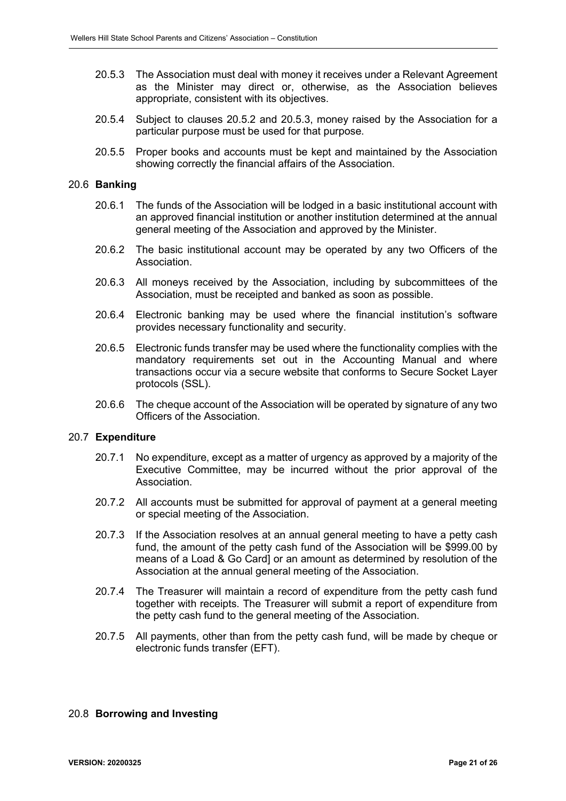- <span id="page-20-0"></span>20.5.3 The Association must deal with money it receives under a Relevant Agreement as the Minister may direct or, otherwise, as the Association believes appropriate, consistent with its objectives.
- <span id="page-20-1"></span>20.5.4 Subject to clauses [20.5.2](#page-19-2) and [20.5.3,](#page-20-0) money raised by the Association for a particular purpose must be used for that purpose.
- 20.5.5 Proper books and accounts must be kept and maintained by the Association showing correctly the financial affairs of the Association.

#### 20.6 **Banking**

- 20.6.1 The funds of the Association will be lodged in a basic institutional account with an approved financial institution or another institution determined at the annual general meeting of the Association and approved by the Minister.
- 20.6.2 The basic institutional account may be operated by any two Officers of the Association.
- 20.6.3 All moneys received by the Association, including by subcommittees of the Association, must be receipted and banked as soon as possible.
- 20.6.4 Electronic banking may be used where the financial institution's software provides necessary functionality and security.
- 20.6.5 Electronic funds transfer may be used where the functionality complies with the mandatory requirements set out in the Accounting Manual and where transactions occur via a secure website that conforms to Secure Socket Layer protocols (SSL).
- 20.6.6 The cheque account of the Association will be operated by signature of any two Officers of the Association.

#### 20.7 **Expenditure**

- 20.7.1 No expenditure, except as a matter of urgency as approved by a majority of the Executive Committee, may be incurred without the prior approval of the Association.
- 20.7.2 All accounts must be submitted for approval of payment at a general meeting or special meeting of the Association.
- 20.7.3 If the Association resolves at an annual general meeting to have a petty cash fund, the amount of the petty cash fund of the Association will be \$999.00 by means of a Load & Go Card] or an amount as determined by resolution of the Association at the annual general meeting of the Association.
- 20.7.4 The Treasurer will maintain a record of expenditure from the petty cash fund together with receipts. The Treasurer will submit a report of expenditure from the petty cash fund to the general meeting of the Association.
- 20.7.5 All payments, other than from the petty cash fund, will be made by cheque or electronic funds transfer (EFT).

#### 20.8 **Borrowing and Investing**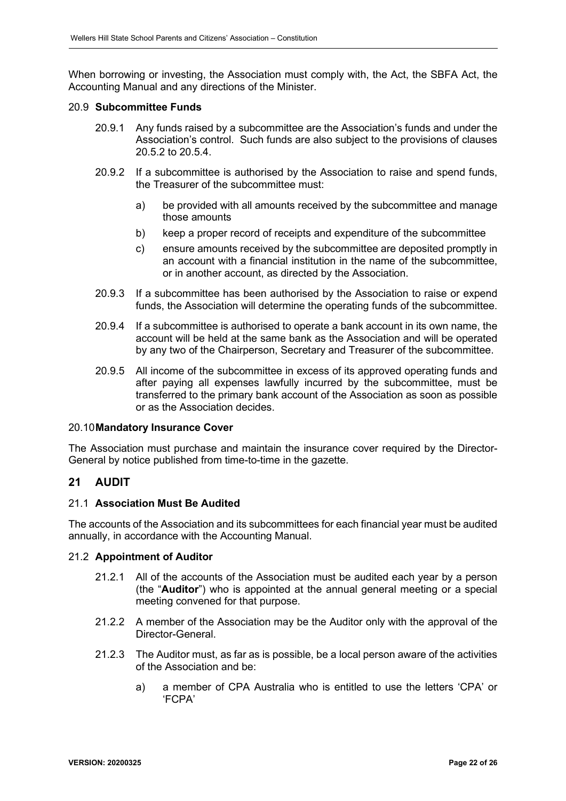When borrowing or investing, the Association must comply with, the Act, the SBFA Act, the Accounting Manual and any directions of the Minister.

#### 20.9 **Subcommittee Funds**

- 20.9.1 Any funds raised by a subcommittee are the Association's funds and under the Association's control. Such funds are also subject to the provisions of clauses [20.5.2](#page-19-2) to [20.5.4.](#page-20-1)
- 20.9.2 If a subcommittee is authorised by the Association to raise and spend funds, the Treasurer of the subcommittee must:
	- a) be provided with all amounts received by the subcommittee and manage those amounts
	- b) keep a proper record of receipts and expenditure of the subcommittee
	- c) ensure amounts received by the subcommittee are deposited promptly in an account with a financial institution in the name of the subcommittee, or in another account, as directed by the Association.
- 20.9.3 If a subcommittee has been authorised by the Association to raise or expend funds, the Association will determine the operating funds of the subcommittee.
- 20.9.4 If a subcommittee is authorised to operate a bank account in its own name, the account will be held at the same bank as the Association and will be operated by any two of the Chairperson, Secretary and Treasurer of the subcommittee.
- 20.9.5 All income of the subcommittee in excess of its approved operating funds and after paying all expenses lawfully incurred by the subcommittee, must be transferred to the primary bank account of the Association as soon as possible or as the Association decides.

#### 20.10**Mandatory Insurance Cover**

The Association must purchase and maintain the insurance cover required by the Director-General by notice published from time-to-time in the gazette.

#### <span id="page-21-0"></span>**21 AUDIT**

#### 21.1 **Association Must Be Audited**

The accounts of the Association and its subcommittees for each financial year must be audited annually, in accordance with the Accounting Manual.

#### 21.2 **Appointment of Auditor**

- 21.2.1 All of the accounts of the Association must be audited each year by a person (the "**Auditor**") who is appointed at the annual general meeting or a special meeting convened for that purpose.
- 21.2.2 A member of the Association may be the Auditor only with the approval of the Director-General.
- 21.2.3 The Auditor must, as far as is possible, be a local person aware of the activities of the Association and be:
	- a) a member of CPA Australia who is entitled to use the letters 'CPA' or 'FCPA'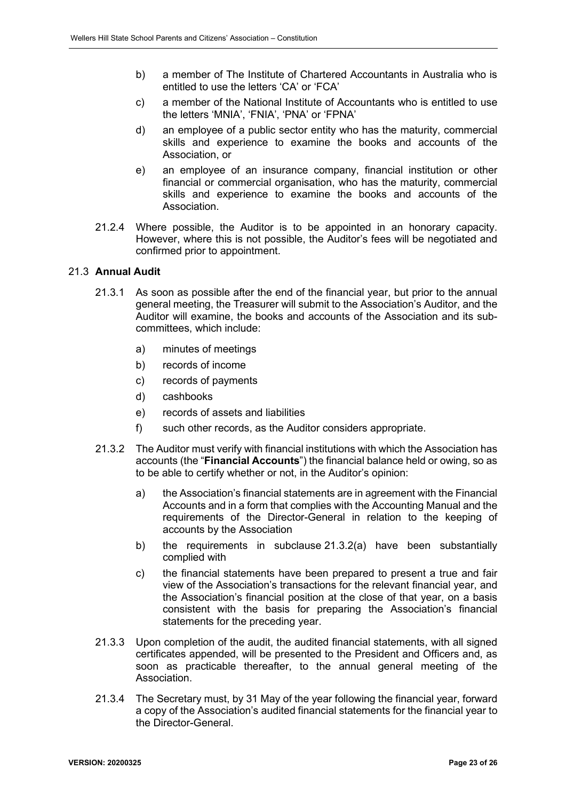- b) a member of The Institute of Chartered Accountants in Australia who is entitled to use the letters 'CA' or 'FCA'
- c) a member of the National Institute of Accountants who is entitled to use the letters 'MNIA', 'FNIA', 'PNA' or 'FPNA'
- d) an employee of a public sector entity who has the maturity, commercial skills and experience to examine the books and accounts of the Association, or
- e) an employee of an insurance company, financial institution or other financial or commercial organisation, who has the maturity, commercial skills and experience to examine the books and accounts of the Association.
- 21.2.4 Where possible, the Auditor is to be appointed in an honorary capacity. However, where this is not possible, the Auditor's fees will be negotiated and confirmed prior to appointment.

#### 21.3 **Annual Audit**

- 21.3.1 As soon as possible after the end of the financial year, but prior to the annual general meeting, the Treasurer will submit to the Association's Auditor, and the Auditor will examine, the books and accounts of the Association and its subcommittees, which include:
	- a) minutes of meetings
	- b) records of income
	- c) records of payments
	- d) cashbooks
	- e) records of assets and liabilities
	- f) such other records, as the Auditor considers appropriate.
- <span id="page-22-1"></span><span id="page-22-0"></span>21.3.2 The Auditor must verify with financial institutions with which the Association has accounts (the "**Financial Accounts**") the financial balance held or owing, so as to be able to certify whether or not, in the Auditor's opinion:
	- a) the Association's financial statements are in agreement with the Financial Accounts and in a form that complies with the Accounting Manual and the requirements of the Director-General in relation to the keeping of accounts by the Association
	- b) the requirements in subclause [21.3.2](#page-22-0)[\(a\)](#page-22-1) have been substantially complied with
	- c) the financial statements have been prepared to present a true and fair view of the Association's transactions for the relevant financial year, and the Association's financial position at the close of that year, on a basis consistent with the basis for preparing the Association's financial statements for the preceding year.
- 21.3.3 Upon completion of the audit, the audited financial statements, with all signed certificates appended, will be presented to the President and Officers and, as soon as practicable thereafter, to the annual general meeting of the Association.
- 21.3.4 The Secretary must, by 31 May of the year following the financial year, forward a copy of the Association's audited financial statements for the financial year to the Director-General.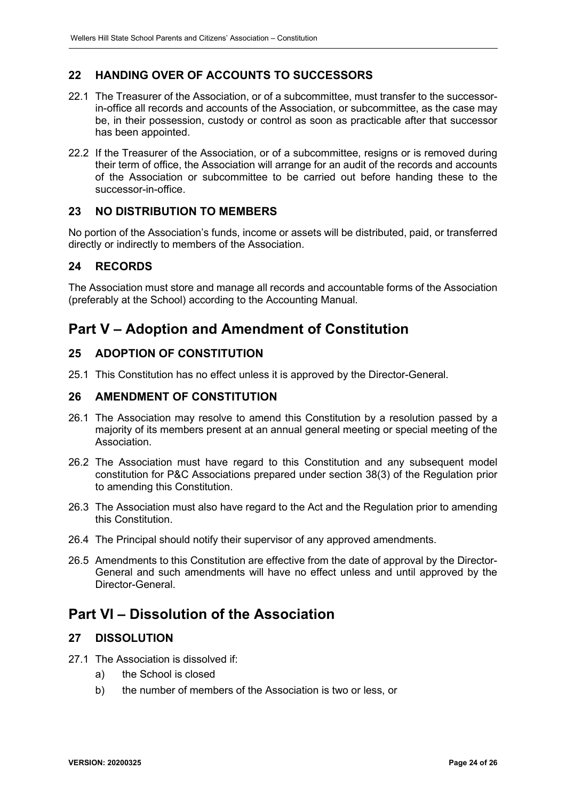## <span id="page-23-0"></span>**22 HANDING OVER OF ACCOUNTS TO SUCCESSORS**

- 22.1 The Treasurer of the Association, or of a subcommittee, must transfer to the successorin-office all records and accounts of the Association, or subcommittee, as the case may be, in their possession, custody or control as soon as practicable after that successor has been appointed.
- 22.2 If the Treasurer of the Association, or of a subcommittee, resigns or is removed during their term of office, the Association will arrange for an audit of the records and accounts of the Association or subcommittee to be carried out before handing these to the successor-in-office.

## <span id="page-23-1"></span>**23 NO DISTRIBUTION TO MEMBERS**

No portion of the Association's funds, income or assets will be distributed, paid, or transferred directly or indirectly to members of the Association.

## <span id="page-23-2"></span>**24 RECORDS**

The Association must store and manage all records and accountable forms of the Association (preferably at the School) according to the Accounting Manual.

# <span id="page-23-3"></span>**Part V – Adoption and Amendment of Constitution**

## <span id="page-23-4"></span>**25 ADOPTION OF CONSTITUTION**

25.1 This Constitution has no effect unless it is approved by the Director-General.

#### <span id="page-23-5"></span>**26 AMENDMENT OF CONSTITUTION**

- 26.1 The Association may resolve to amend this Constitution by a resolution passed by a majority of its members present at an annual general meeting or special meeting of the Association.
- 26.2 The Association must have regard to this Constitution and any subsequent model constitution for P&C Associations prepared under section 38(3) of the Regulation prior to amending this Constitution.
- 26.3 The Association must also have regard to the Act and the Regulation prior to amending this Constitution.
- 26.4 The Principal should notify their supervisor of any approved amendments.
- 26.5 Amendments to this Constitution are effective from the date of approval by the Director-General and such amendments will have no effect unless and until approved by the Director-General.

## <span id="page-23-6"></span>**Part VI – Dissolution of the Association**

### <span id="page-23-7"></span>**27 DISSOLUTION**

- 27.1 The Association is dissolved if:
	- a) the School is closed
	- b) the number of members of the Association is two or less, or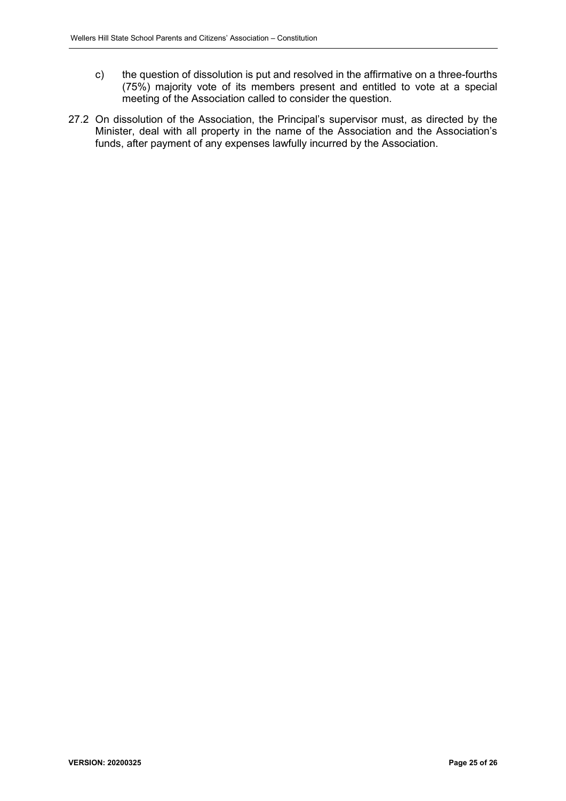- c) the question of dissolution is put and resolved in the affirmative on a three-fourths (75%) majority vote of its members present and entitled to vote at a special meeting of the Association called to consider the question.
- 27.2 On dissolution of the Association, the Principal's supervisor must, as directed by the Minister, deal with all property in the name of the Association and the Association's funds, after payment of any expenses lawfully incurred by the Association.